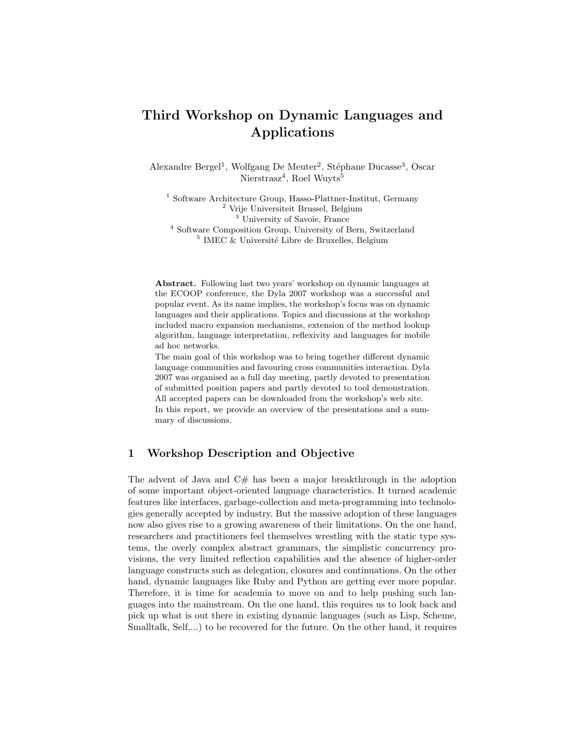# Third Workshop on Dynamic Languages and Applications

Alexandre Bergel<sup>1</sup>, Wolfgang De Meuter<sup>2</sup>, Stéphane Ducasse<sup>3</sup>, Oscar  $Nierstrasz<sup>4</sup>, Roel Wuyts<sup>5</sup>$ 

 Software Architecture Group, Hasso-Plattner-Institut, Germany Vrije Universiteit Brussel, Belgium University of Savoie, France Software Composition Group, University of Bern, Switzerland IMEC & Université Libre de Bruxelles, Belgium

Abstract. Following last two years' workshop on dynamic languages at the ECOOP conference, the Dyla 2007 workshop was a successful and popular event. As its name implies, the workshop's focus was on dynamic languages and their applications. Topics and discussions at the workshop included macro expansion mechanisms, extension of the method lookup algorithm, language interpretation, reflexivity and languages for mobile ad hoc networks.

The main goal of this workshop was to bring together different dynamic language communities and favouring cross communities interaction. Dyla 2007 was organised as a full day meeting, partly devoted to presentation of submitted position papers and partly devoted to tool demonstration. All accepted papers can be downloaded from the workshop's web site. In this report, we provide an overview of the presentations and a summary of discussions.

# 1 Workshop Description and Objective

The advent of Java and C# has been a major breakthrough in the adoption of some important object-oriented language characteristics. It turned academic features like interfaces, garbage-collection and meta-programming into technologies generally accepted by industry. But the massive adoption of these languages now also gives rise to a growing awareness of their limitations. On the one hand, researchers and practitioners feel themselves wrestling with the static type systems, the overly complex abstract grammars, the simplistic concurrency provisions, the very limited reflection capabilities and the absence of higher-order language constructs such as delegation, closures and continuations. On the other hand, dynamic languages like Ruby and Python are getting ever more popular. Therefore, it is time for academia to move on and to help pushing such languages into the mainstream. On the one hand, this requires us to look back and pick up what is out there in existing dynamic languages (such as Lisp, Scheme, Smalltalk, Self,...) to be recovered for the future. On the other hand, it requires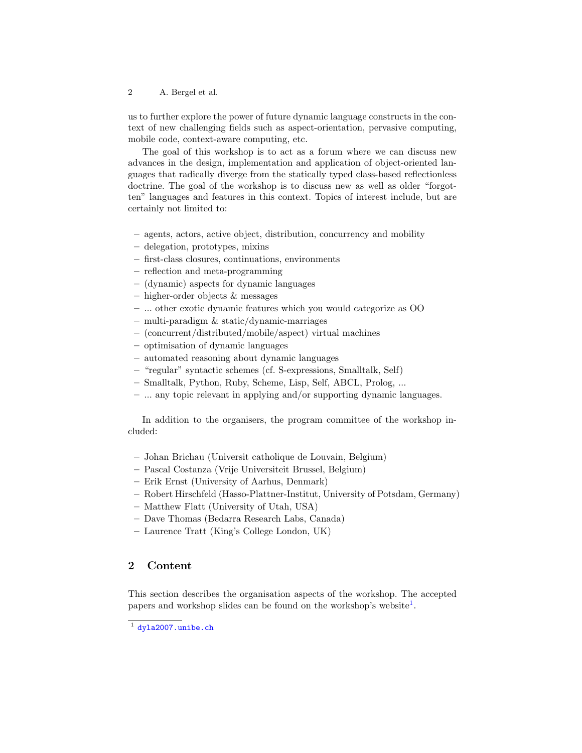2 A. Bergel et al.

us to further explore the power of future dynamic language constructs in the context of new challenging fields such as aspect-orientation, pervasive computing, mobile code, context-aware computing, etc.

The goal of this workshop is to act as a forum where we can discuss new advances in the design, implementation and application of object-oriented languages that radically diverge from the statically typed class-based reflectionless doctrine. The goal of the workshop is to discuss new as well as older "forgotten" languages and features in this context. Topics of interest include, but are certainly not limited to:

- agents, actors, active object, distribution, concurrency and mobility
- delegation, prototypes, mixins
- first-class closures, continuations, environments
- reflection and meta-programming
- (dynamic) aspects for dynamic languages
- higher-order objects & messages
- ... other exotic dynamic features which you would categorize as OO
- multi-paradigm & static/dynamic-marriages
- (concurrent/distributed/mobile/aspect) virtual machines
- optimisation of dynamic languages
- automated reasoning about dynamic languages
- "regular" syntactic schemes (cf. S-expressions, Smalltalk, Self)
- Smalltalk, Python, Ruby, Scheme, Lisp, Self, ABCL, Prolog, ...
- ... any topic relevant in applying and/or supporting dynamic languages.

In addition to the organisers, the program committee of the workshop included:

- Johan Brichau (Universit catholique de Louvain, Belgium)
- Pascal Costanza (Vrije Universiteit Brussel, Belgium)
- Erik Ernst (University of Aarhus, Denmark)
- Robert Hirschfeld (Hasso-Plattner-Institut, University of Potsdam, Germany)
- Matthew Flatt (University of Utah, USA)
- Dave Thomas (Bedarra Research Labs, Canada)
- Laurence Tratt (King's College London, UK)

# 2 Content

This section describes the organisation aspects of the workshop. The accepted papers and workshop slides can be found on the workshop's website<sup>[1](#page-1-0)</sup>.

<span id="page-1-0"></span> $^1$  <dyla2007.unibe.ch>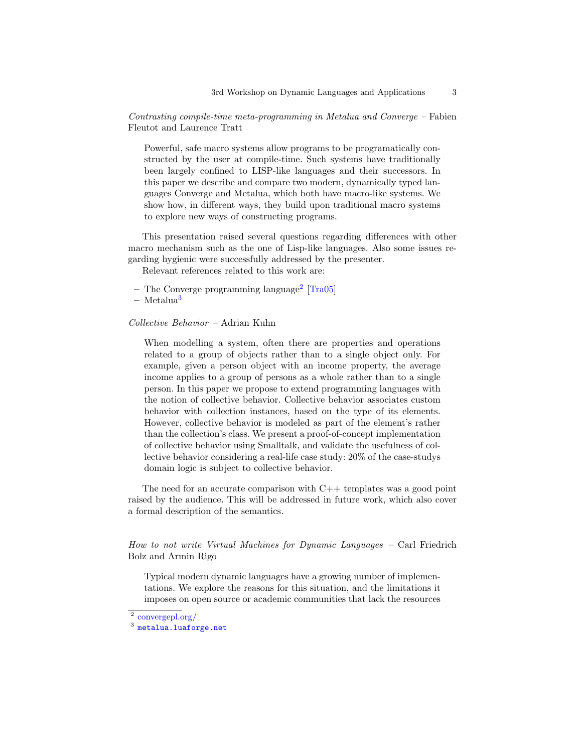Contrasting compile-time meta-programming in Metalua and Converge – Fabien Fleutot and Laurence Tratt

Powerful, safe macro systems allow programs to be programatically constructed by the user at compile-time. Such systems have traditionally been largely confined to LISP-like languages and their successors. In this paper we describe and compare two modern, dynamically typed languages Converge and Metalua, which both have macro-like systems. We show how, in different ways, they build upon traditional macro systems to explore new ways of constructing programs.

This presentation raised several questions regarding differences with other macro mechanism such as the one of Lisp-like languages. Also some issues regarding hygienic were successfully addressed by the presenter.

Relevant references related to this work are:

- The Converge programming language<sup>[2](#page-2-0)</sup> [\[Tra05\]](#page-6-0)
- Metalua<sup>[3](#page-2-1)</sup>

#### Collective Behavior – Adrian Kuhn

When modelling a system, often there are properties and operations related to a group of objects rather than to a single object only. For example, given a person object with an income property, the average income applies to a group of persons as a whole rather than to a single person. In this paper we propose to extend programming languages with the notion of collective behavior. Collective behavior associates custom behavior with collection instances, based on the type of its elements. However, collective behavior is modeled as part of the element's rather than the collection's class. We present a proof-of-concept implementation of collective behavior using Smalltalk, and validate the usefulness of collective behavior considering a real-life case study: 20% of the case-studys domain logic is subject to collective behavior.

The need for an accurate comparison with C++ templates was a good point raised by the audience. This will be addressed in future work, which also cover a formal description of the semantics.

## How to not write Virtual Machines for Dynamic Languages – Carl Friedrich Bolz and Armin Rigo

Typical modern dynamic languages have a growing number of implementations. We explore the reasons for this situation, and the limitations it imposes on open source or academic communities that lack the resources

<span id="page-2-0"></span><sup>2</sup> [convergepl.org/](http://convergepl.org/)

<span id="page-2-1"></span><sup>3</sup> <metalua.luaforge.net>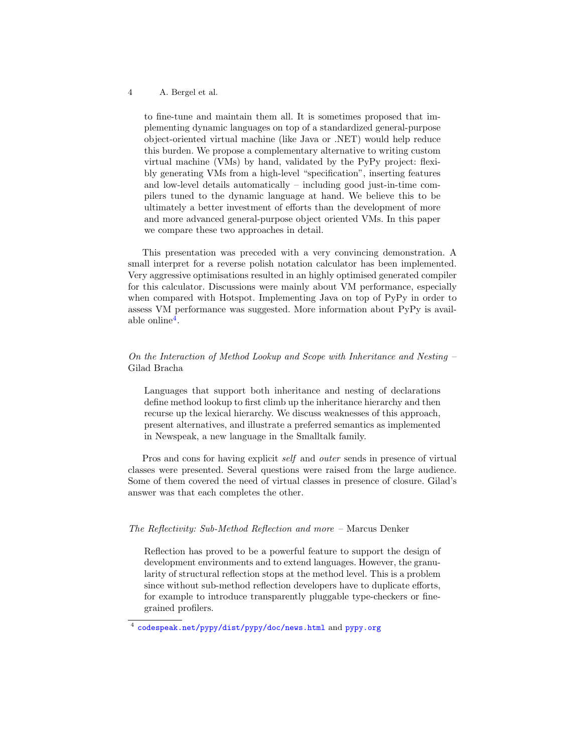#### 4 A. Bergel et al.

to fine-tune and maintain them all. It is sometimes proposed that implementing dynamic languages on top of a standardized general-purpose object-oriented virtual machine (like Java or .NET) would help reduce this burden. We propose a complementary alternative to writing custom virtual machine (VMs) by hand, validated by the PyPy project: flexibly generating VMs from a high-level "specification", inserting features and low-level details automatically – including good just-in-time compilers tuned to the dynamic language at hand. We believe this to be ultimately a better investment of efforts than the development of more and more advanced general-purpose object oriented VMs. In this paper we compare these two approaches in detail.

This presentation was preceded with a very convincing demonstration. A small interpret for a reverse polish notation calculator has been implemented. Very aggressive optimisations resulted in an highly optimised generated compiler for this calculator. Discussions were mainly about VM performance, especially when compared with Hotspot. Implementing Java on top of PyPy in order to assess VM performance was suggested. More information about PyPy is avail-able online<sup>[4](#page-3-0)</sup>.

## On the Interaction of Method Lookup and Scope with Inheritance and Nesting – Gilad Bracha

Languages that support both inheritance and nesting of declarations define method lookup to first climb up the inheritance hierarchy and then recurse up the lexical hierarchy. We discuss weaknesses of this approach, present alternatives, and illustrate a preferred semantics as implemented in Newspeak, a new language in the Smalltalk family.

Pros and cons for having explicit self and outer sends in presence of virtual classes were presented. Several questions were raised from the large audience. Some of them covered the need of virtual classes in presence of closure. Gilad's answer was that each completes the other.

#### The Reflectivity: Sub-Method Reflection and more – Marcus Denker

Reflection has proved to be a powerful feature to support the design of development environments and to extend languages. However, the granularity of structural reflection stops at the method level. This is a problem since without sub-method reflection developers have to duplicate efforts, for example to introduce transparently pluggable type-checkers or finegrained profilers.

<span id="page-3-0"></span> $^4$  <codespeak.net/pypy/dist/pypy/doc/news.html> and <pypy.org>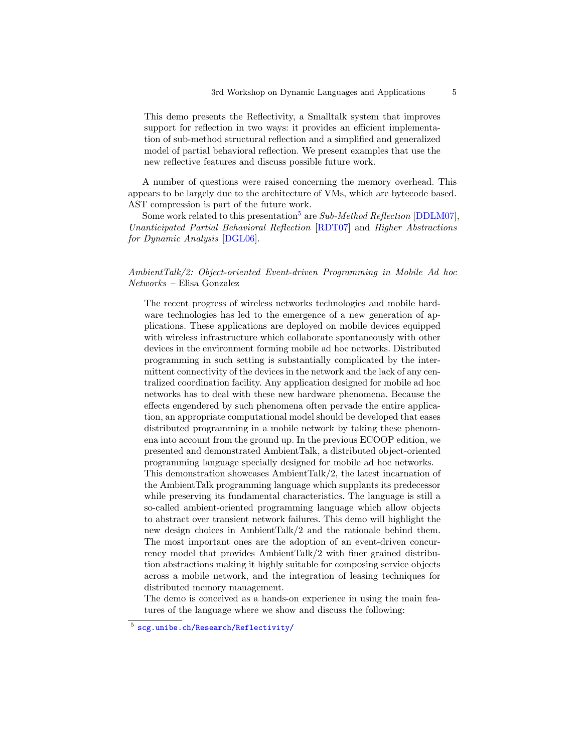This demo presents the Reflectivity, a Smalltalk system that improves support for reflection in two ways: it provides an efficient implementation of sub-method structural reflection and a simplified and generalized model of partial behavioral reflection. We present examples that use the new reflective features and discuss possible future work.

A number of questions were raised concerning the memory overhead. This appears to be largely due to the architecture of VMs, which are bytecode based. AST compression is part of the future work.

Some work related to this presentation<sup>[5](#page-4-0)</sup> are *Sub-Method Reflection* [\[DDLM07\]](#page-5-0). Unanticipated Partial Behavioral Reflection [\[RDT07\]](#page-6-1) and Higher Abstractions for Dynamic Analysis [\[DGL06\]](#page-6-2).

### AmbientTalk/2: Object-oriented Event-driven Programming in Mobile Ad hoc Networks – Elisa Gonzalez

The recent progress of wireless networks technologies and mobile hardware technologies has led to the emergence of a new generation of applications. These applications are deployed on mobile devices equipped with wireless infrastructure which collaborate spontaneously with other devices in the environment forming mobile ad hoc networks. Distributed programming in such setting is substantially complicated by the intermittent connectivity of the devices in the network and the lack of any centralized coordination facility. Any application designed for mobile ad hoc networks has to deal with these new hardware phenomena. Because the effects engendered by such phenomena often pervade the entire application, an appropriate computational model should be developed that eases distributed programming in a mobile network by taking these phenomena into account from the ground up. In the previous ECOOP edition, we presented and demonstrated AmbientTalk, a distributed object-oriented programming language specially designed for mobile ad hoc networks. This demonstration showcases AmbientTalk/2, the latest incarnation of

the AmbientTalk programming language which supplants its predecessor while preserving its fundamental characteristics. The language is still a so-called ambient-oriented programming language which allow objects to abstract over transient network failures. This demo will highlight the new design choices in AmbientTalk/2 and the rationale behind them. The most important ones are the adoption of an event-driven concurrency model that provides AmbientTalk/2 with finer grained distribution abstractions making it highly suitable for composing service objects across a mobile network, and the integration of leasing techniques for distributed memory management.

The demo is conceived as a hands-on experience in using the main features of the language where we show and discuss the following:

<span id="page-4-0"></span> $^5$  <scg.unibe.ch/Research/Reflectivity/>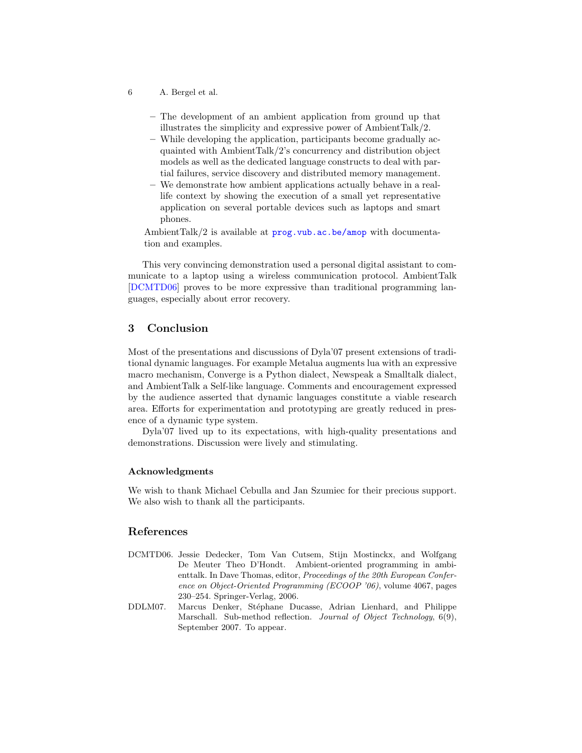- 6 A. Bergel et al.
	- The development of an ambient application from ground up that illustrates the simplicity and expressive power of AmbientTalk/2.
	- While developing the application, participants become gradually acquainted with AmbientTalk/2's concurrency and distribution object models as well as the dedicated language constructs to deal with partial failures, service discovery and distributed memory management.
	- We demonstrate how ambient applications actually behave in a reallife context by showing the execution of a small yet representative application on several portable devices such as laptops and smart phones.

AmbientTalk/2 is available at <prog.vub.ac.be/amop> with documentation and examples.

This very convincing demonstration used a personal digital assistant to communicate to a laptop using a wireless communication protocol. AmbientTalk [\[DCMTD06\]](#page-5-1) proves to be more expressive than traditional programming languages, especially about error recovery.

# 3 Conclusion

Most of the presentations and discussions of Dyla'07 present extensions of traditional dynamic languages. For example Metalua augments lua with an expressive macro mechanism, Converge is a Python dialect, Newspeak a Smalltalk dialect, and AmbientTalk a Self-like language. Comments and encouragement expressed by the audience asserted that dynamic languages constitute a viable research area. Efforts for experimentation and prototyping are greatly reduced in presence of a dynamic type system.

Dyla'07 lived up to its expectations, with high-quality presentations and demonstrations. Discussion were lively and stimulating.

#### Acknowledgments

We wish to thank Michael Cebulla and Jan Szumiec for their precious support. We also wish to thank all the participants.

## References

- <span id="page-5-1"></span>DCMTD06. Jessie Dedecker, Tom Van Cutsem, Stijn Mostinckx, and Wolfgang De Meuter Theo D'Hondt. Ambient-oriented programming in ambienttalk. In Dave Thomas, editor, Proceedings of the 20th European Conference on Object-Oriented Programming (ECOOP '06), volume 4067, pages 230–254. Springer-Verlag, 2006.
- <span id="page-5-0"></span>DDLM07. Marcus Denker, Stéphane Ducasse, Adrian Lienhard, and Philippe Marschall. Sub-method reflection. Journal of Object Technology, 6(9), September 2007. To appear.